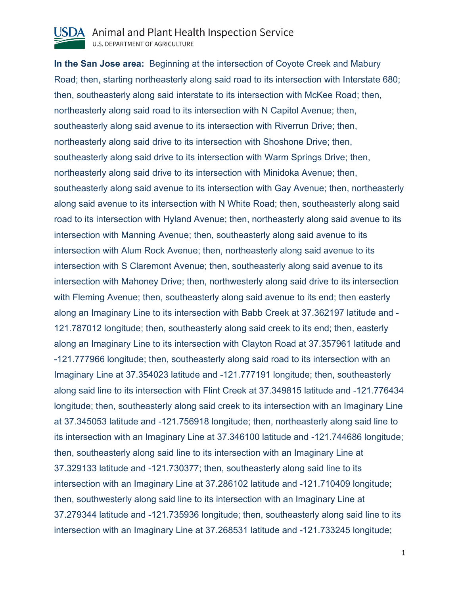

**In the San Jose area:** Beginning at the intersection of Coyote Creek and Mabury Road; then, starting northeasterly along said road to its intersection with Interstate 680; then, southeasterly along said interstate to its intersection with McKee Road; then, northeasterly along said road to its intersection with N Capitol Avenue; then, southeasterly along said avenue to its intersection with Riverrun Drive; then, northeasterly along said drive to its intersection with Shoshone Drive; then, southeasterly along said drive to its intersection with Warm Springs Drive; then, northeasterly along said drive to its intersection with Minidoka Avenue; then, southeasterly along said avenue to its intersection with Gay Avenue; then, northeasterly along said avenue to its intersection with N White Road; then, southeasterly along said road to its intersection with Hyland Avenue; then, northeasterly along said avenue to its intersection with Manning Avenue; then, southeasterly along said avenue to its intersection with Alum Rock Avenue; then, northeasterly along said avenue to its intersection with S Claremont Avenue; then, southeasterly along said avenue to its intersection with Mahoney Drive; then, northwesterly along said drive to its intersection with Fleming Avenue; then, southeasterly along said avenue to its end; then easterly along an Imaginary Line to its intersection with Babb Creek at 37.362197 latitude and - 121.787012 longitude; then, southeasterly along said creek to its end; then, easterly along an Imaginary Line to its intersection with Clayton Road at 37.357961 latitude and -121.777966 longitude; then, southeasterly along said road to its intersection with an Imaginary Line at 37.354023 latitude and -121.777191 longitude; then, southeasterly along said line to its intersection with Flint Creek at 37.349815 latitude and -121.776434 longitude; then, southeasterly along said creek to its intersection with an Imaginary Line at 37.345053 latitude and -121.756918 longitude; then, northeasterly along said line to its intersection with an Imaginary Line at 37.346100 latitude and -121.744686 longitude; then, southeasterly along said line to its intersection with an Imaginary Line at 37.329133 latitude and -121.730377; then, southeasterly along said line to its intersection with an Imaginary Line at 37.286102 latitude and -121.710409 longitude; then, southwesterly along said line to its intersection with an Imaginary Line at 37.279344 latitude and -121.735936 longitude; then, southeasterly along said line to its intersection with an Imaginary Line at 37.268531 latitude and -121.733245 longitude;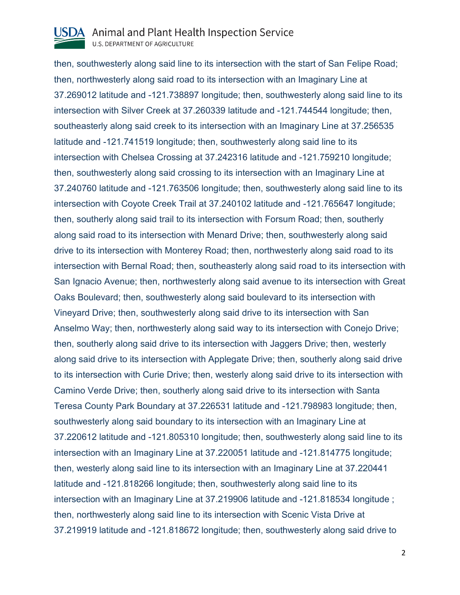

then, southwesterly along said line to its intersection with the start of San Felipe Road; then, northwesterly along said road to its intersection with an Imaginary Line at 37.269012 latitude and -121.738897 longitude; then, southwesterly along said line to its intersection with Silver Creek at 37.260339 latitude and -121.744544 longitude; then, southeasterly along said creek to its intersection with an Imaginary Line at 37.256535 latitude and -121.741519 longitude; then, southwesterly along said line to its intersection with Chelsea Crossing at 37.242316 latitude and -121.759210 longitude; then, southwesterly along said crossing to its intersection with an Imaginary Line at 37.240760 latitude and -121.763506 longitude; then, southwesterly along said line to its intersection with Coyote Creek Trail at 37.240102 latitude and -121.765647 longitude; then, southerly along said trail to its intersection with Forsum Road; then, southerly along said road to its intersection with Menard Drive; then, southwesterly along said drive to its intersection with Monterey Road; then, northwesterly along said road to its intersection with Bernal Road; then, southeasterly along said road to its intersection with San Ignacio Avenue; then, northwesterly along said avenue to its intersection with Great Oaks Boulevard; then, southwesterly along said boulevard to its intersection with Vineyard Drive; then, southwesterly along said drive to its intersection with San Anselmo Way; then, northwesterly along said way to its intersection with Conejo Drive; then, southerly along said drive to its intersection with Jaggers Drive; then, westerly along said drive to its intersection with Applegate Drive; then, southerly along said drive to its intersection with Curie Drive; then, westerly along said drive to its intersection with Camino Verde Drive; then, southerly along said drive to its intersection with Santa Teresa County Park Boundary at 37.226531 latitude and -121.798983 longitude; then, southwesterly along said boundary to its intersection with an Imaginary Line at 37.220612 latitude and -121.805310 longitude; then, southwesterly along said line to its intersection with an Imaginary Line at 37.220051 latitude and -121.814775 longitude; then, westerly along said line to its intersection with an Imaginary Line at 37.220441 latitude and -121.818266 longitude; then, southwesterly along said line to its intersection with an Imaginary Line at 37.219906 latitude and -121.818534 longitude ; then, northwesterly along said line to its intersection with Scenic Vista Drive at 37.219919 latitude and -121.818672 longitude; then, southwesterly along said drive to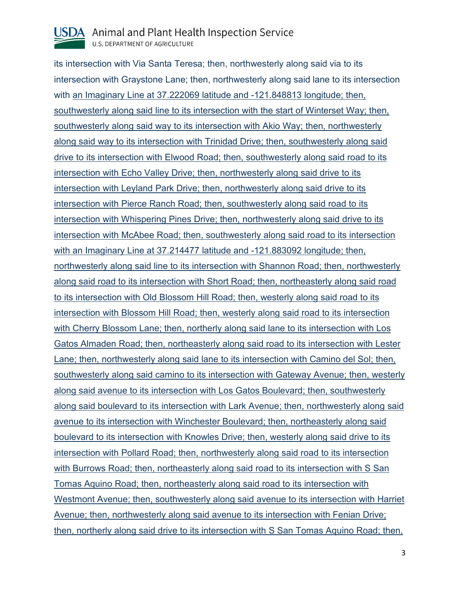

its intersection with Via Santa Teresa; then, northwesterly along said via to its intersection with Graystone Lane; then, northwesterly along said lane to its intersection with an Imaginary Line at 37.222069 latitude and -121.848813 longitude; then, southwesterly along said line to its intersection with the start of Winterset Way; then, southwesterly along said way to its intersection with Akio Way; then, northwesterly along said way to its intersection with Trinidad Drive; then, southwesterly along said drive to its intersection with Elwood Road; then, southwesterly along said road to its intersection with Echo Valley Drive; then, northwesterly along said drive to its intersection with Leyland Park Drive; then, northwesterly along said drive to its intersection with Pierce Ranch Road; then, southwesterly along said road to its intersection with Whispering Pines Drive; then, northwesterly along said drive to its intersection with McAbee Road; then, southwesterly along said road to its intersection with an Imaginary Line at 37.214477 latitude and -121.883092 longitude; then, northwesterly along said line to its intersection with Shannon Road; then, northwesterly along said road to its intersection with Short Road; then, northeasterly along said road to its intersection with Old Blossom Hill Road; then, westerly along said road to its intersection with Blossom Hill Road; then, westerly along said road to its intersection with Cherry Blossom Lane; then, northerly along said lane to its intersection with Los Gatos Almaden Road; then, northeasterly along said road to its intersection with Lester Lane; then, northwesterly along said lane to its intersection with Camino del Sol; then, southwesterly along said camino to its intersection with Gateway Avenue; then, westerly along said avenue to its intersection with Los Gatos Boulevard; then, southwesterly along said boulevard to its intersection with Lark Avenue; then, northwesterly along said avenue to its intersection with Winchester Boulevard; then, northeasterly along said boulevard to its intersection with Knowles Drive; then, westerly along said drive to its intersection with Pollard Road; then, northwesterly along said road to its intersection with Burrows Road; then, northeasterly along said road to its intersection with S San Tomas Aquino Road; then, northeasterly along said road to its intersection with Westmont Avenue; then, southwesterly along said avenue to its intersection with Harriet Avenue; then, northwesterly along said avenue to its intersection with Fenian Drive; then, northerly along said drive to its intersection with S San Tomas Aquino Road; then,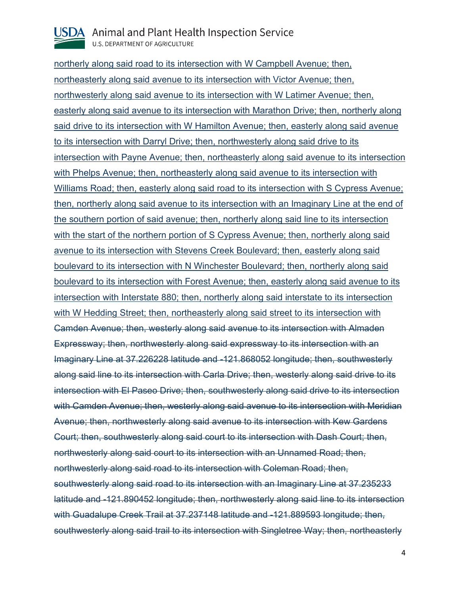

northerly along said road to its intersection with W Campbell Avenue; then, northeasterly along said avenue to its intersection with Victor Avenue; then, northwesterly along said avenue to its intersection with W Latimer Avenue; then, easterly along said avenue to its intersection with Marathon Drive; then, northerly along said drive to its intersection with W Hamilton Avenue; then, easterly along said avenue to its intersection with Darryl Drive; then, northwesterly along said drive to its intersection with Payne Avenue; then, northeasterly along said avenue to its intersection with Phelps Avenue; then, northeasterly along said avenue to its intersection with Williams Road; then, easterly along said road to its intersection with S Cypress Avenue; then, northerly along said avenue to its intersection with an Imaginary Line at the end of the southern portion of said avenue; then, northerly along said line to its intersection with the start of the northern portion of S Cypress Avenue; then, northerly along said avenue to its intersection with Stevens Creek Boulevard; then, easterly along said boulevard to its intersection with N Winchester Boulevard; then, northerly along said boulevard to its intersection with Forest Avenue; then, easterly along said avenue to its intersection with Interstate 880; then, northerly along said interstate to its intersection with W Hedding Street; then, northeasterly along said street to its intersection with Camden Avenue; then, westerly along said avenue to its intersection with Almaden Expressway; then, northwesterly along said expressway to its intersection with an Imaginary Line at 37.226228 latitude and -121.868052 longitude; then, southwesterly along said line to its intersection with Carla Drive; then, westerly along said drive to its intersection with El Paseo Drive; then, southwesterly along said drive to its intersection with Camden Avenue; then, westerly along said avenue to its intersection with Meridian Avenue; then, northwesterly along said avenue to its intersection with Kew Gardens Court; then, southwesterly along said court to its intersection with Dash Court; then, northwesterly along said court to its intersection with an Unnamed Road; then, northwesterly along said road to its intersection with Coleman Road; then, southwesterly along said road to its intersection with an Imaginary Line at 37.235233 latitude and -121.890452 longitude; then, northwesterly along said line to its intersection with Guadalupe Creek Trail at 37.237148 latitude and -121.889593 longitude; then, southwesterly along said trail to its intersection with Singletree Way; then, northeasterly